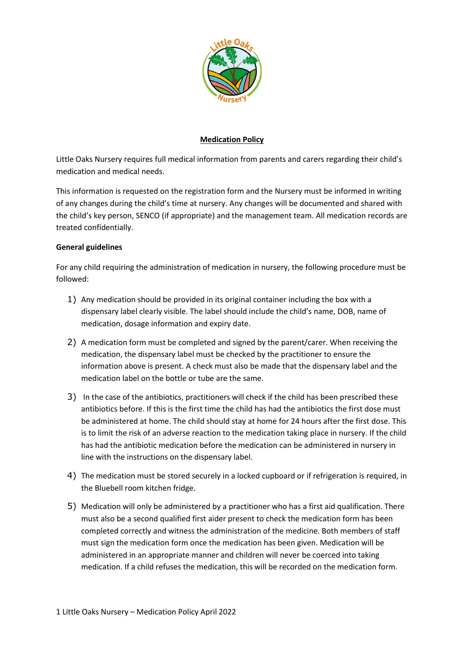

## **Medication Policy**

Little Oaks Nursery requires full medical information from parents and carers regarding their child's medication and medical needs.

This information is requested on the registration form and the Nursery must be informed in writing of any changes during the child's time at nursery. Any changes will be documented and shared with the child's key person, SENCO (if appropriate) and the management team. All medication records are treated confidentially.

## **General guidelines**

For any child requiring the administration of medication in nursery, the following procedure must be followed:

- 1) Any medication should be provided in its original container including the box with a dispensary label clearly visible. The label should include the child's name, DOB, name of medication, dosage information and expiry date.
- 2) A medication form must be completed and signed by the parent/carer. When receiving the medication, the dispensary label must be checked by the practitioner to ensure the information above is present. A check must also be made that the dispensary label and the medication label on the bottle or tube are the same.
- 3) In the case of the antibiotics, practitioners will check if the child has been prescribed these antibiotics before. If this is the first time the child has had the antibiotics the first dose must be administered at home. The child should stay at home for 24 hours after the first dose. This is to limit the risk of an adverse reaction to the medication taking place in nursery. If the child has had the antibiotic medication before the medication can be administered in nursery in line with the instructions on the dispensary label.
- 4) The medication must be stored securely in a locked cupboard or if refrigeration is required, in the Bluebell room kitchen fridge.
- 5) Medication will only be administered by a practitioner who has a first aid qualification. There must also be a second qualified first aider present to check the medication form has been completed correctly and witness the administration of the medicine. Both members of staff must sign the medication form once the medication has been given. Medication will be administered in an appropriate manner and children will never be coerced into taking medication. If a child refuses the medication, this will be recorded on the medication form.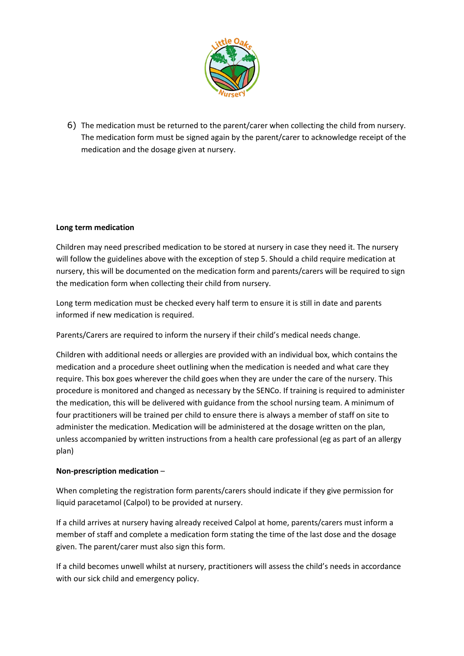

6) The medication must be returned to the parent/carer when collecting the child from nursery. The medication form must be signed again by the parent/carer to acknowledge receipt of the medication and the dosage given at nursery.

## **Long term medication**

Children may need prescribed medication to be stored at nursery in case they need it. The nursery will follow the guidelines above with the exception of step 5. Should a child require medication at nursery, this will be documented on the medication form and parents/carers will be required to sign the medication form when collecting their child from nursery.

Long term medication must be checked every half term to ensure it is still in date and parents informed if new medication is required.

Parents/Carers are required to inform the nursery if their child's medical needs change.

Children with additional needs or allergies are provided with an individual box, which contains the medication and a procedure sheet outlining when the medication is needed and what care they require. This box goes wherever the child goes when they are under the care of the nursery. This procedure is monitored and changed as necessary by the SENCo. If training is required to administer the medication, this will be delivered with guidance from the school nursing team. A minimum of four practitioners will be trained per child to ensure there is always a member of staff on site to administer the medication. Medication will be administered at the dosage written on the plan, unless accompanied by written instructions from a health care professional (eg as part of an allergy plan)

### **Non-prescription medication** –

When completing the registration form parents/carers should indicate if they give permission for liquid paracetamol (Calpol) to be provided at nursery.

If a child arrives at nursery having already received Calpol at home, parents/carers must inform a member of staff and complete a medication form stating the time of the last dose and the dosage given. The parent/carer must also sign this form.

If a child becomes unwell whilst at nursery, practitioners will assess the child's needs in accordance with our sick child and emergency policy.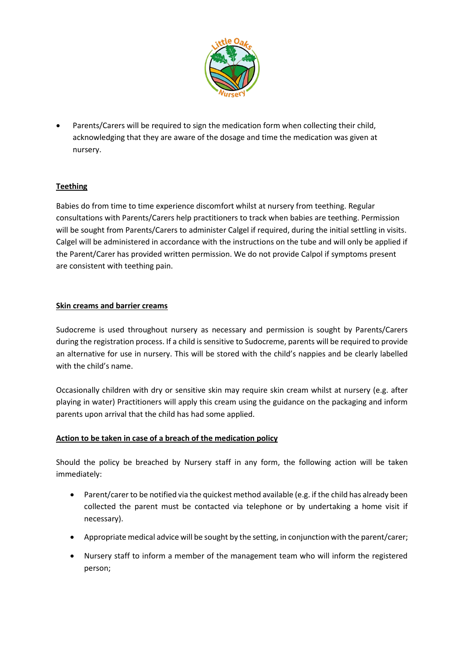

 Parents/Carers will be required to sign the medication form when collecting their child, acknowledging that they are aware of the dosage and time the medication was given at nursery.

# **Teething**

Babies do from time to time experience discomfort whilst at nursery from teething. Regular consultations with Parents/Carers help practitioners to track when babies are teething. Permission will be sought from Parents/Carers to administer Calgel if required, during the initial settling in visits. Calgel will be administered in accordance with the instructions on the tube and will only be applied if the Parent/Carer has provided written permission. We do not provide Calpol if symptoms present are consistent with teething pain.

## **Skin creams and barrier creams**

Sudocreme is used throughout nursery as necessary and permission is sought by Parents/Carers during the registration process. If a child is sensitive to Sudocreme, parents will be required to provide an alternative for use in nursery. This will be stored with the child's nappies and be clearly labelled with the child's name.

Occasionally children with dry or sensitive skin may require skin cream whilst at nursery (e.g. after playing in water) Practitioners will apply this cream using the guidance on the packaging and inform parents upon arrival that the child has had some applied.

# **Action to be taken in case of a breach of the medication policy**

Should the policy be breached by Nursery staff in any form, the following action will be taken immediately:

- Parent/carer to be notified via the quickest method available (e.g. if the child has already been collected the parent must be contacted via telephone or by undertaking a home visit if necessary).
- Appropriate medical advice will be sought by the setting, in conjunction with the parent/carer;
- Nursery staff to inform a member of the management team who will inform the registered person;